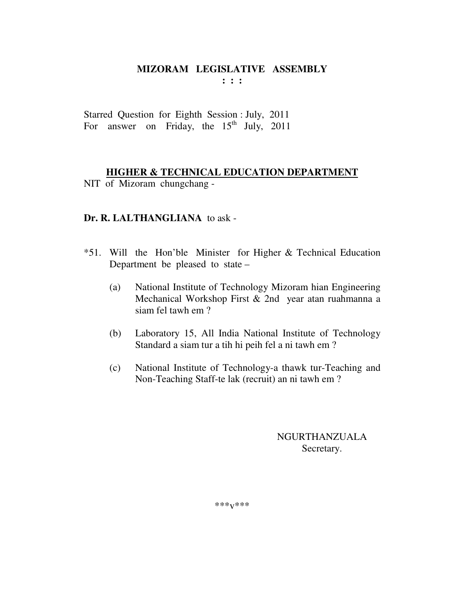**: : :** 

Starred Question for Eighth Session : July, 2011 For answer on Friday, the  $15<sup>th</sup>$  July, 2011

## **HIGHER & TECHNICAL EDUCATION DEPARTMENT**

NIT of Mizoram chungchang -

#### **Dr. R. LALTHANGLIANA** to ask -

- \*51. Will the Hon'ble Minister for Higher & Technical Education Department be pleased to state –
	- (a) National Institute of Technology Mizoram hian Engineering Mechanical Workshop First & 2nd year atan ruahmanna a siam fel tawh em ?
	- (b) Laboratory 15, All India National Institute of Technology Standard a siam tur a tih hi peih fel a ni tawh em ?
	- (c) National Institute of Technology-a thawk tur-Teaching and Non-Teaching Staff-te lak (recruit) an ni tawh em ?

## NGURTHANZUALA Secretary.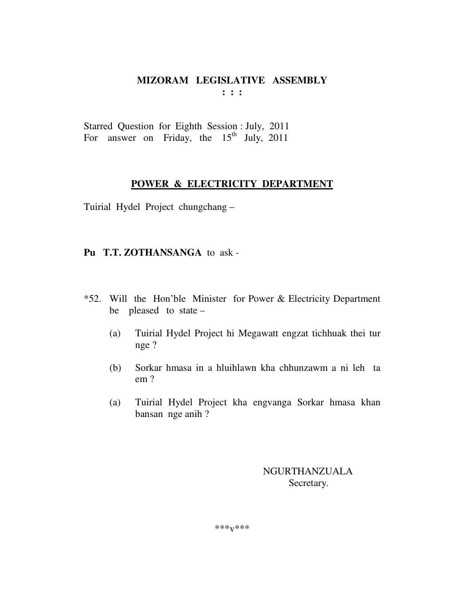**: : :** 

Starred Question for Eighth Session : July, 2011 For answer on Friday, the  $15<sup>th</sup>$  July, 2011

#### **POWER & ELECTRICITY DEPARTMENT**

Tuirial Hydel Project chungchang –

## **Pu T.T. ZOTHANSANGA** to ask -

- \*52. Will the Hon'ble Minister for Power & Electricity Department be pleased to state –
	- (a) Tuirial Hydel Project hi Megawatt engzat tichhuak thei tur nge ?
	- (b) Sorkar hmasa in a hluihlawn kha chhunzawm a ni leh ta em ?
	- (a) Tuirial Hydel Project kha engvanga Sorkar hmasa khan bansan nge anih ?

 NGURTHANZUALA Secretary.

\*\*\*v\*\*\*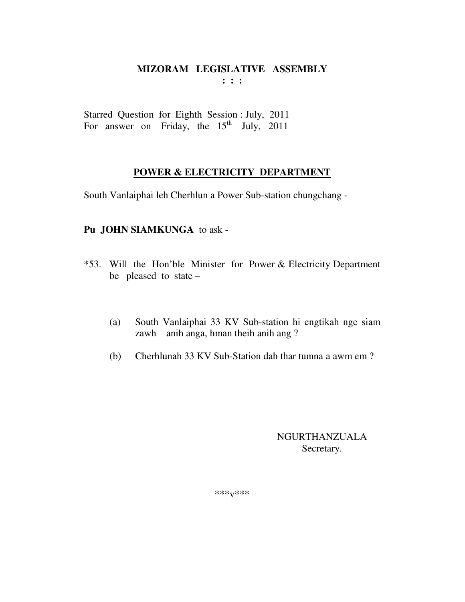**: : :** 

Starred Question for Eighth Session : July, 2011 For answer on Friday, the  $15<sup>th</sup>$  July, 2011

## **POWER & ELECTRICITY DEPARTMENT**

South Vanlaiphai leh Cherhlun a Power Sub-station chungchang -

## **Pu JOHN SIAMKUNGA** to ask -

- \*53. Will the Hon'ble Minister for Power & Electricity Department be pleased to state –
	- (a) South Vanlaiphai 33 KV Sub-station hi engtikah nge siam zawh anih anga, hman theih anih ang ?
	- (b) Cherhlunah 33 KV Sub-Station dah thar tumna a awm em ?

## NGURTHANZUALA Secretary.

\*\*\*v\*\*\*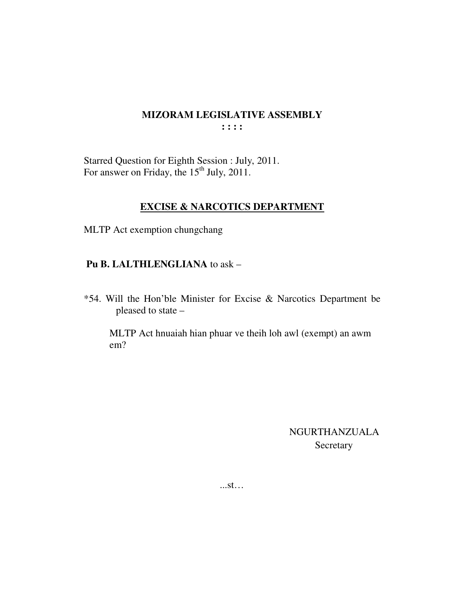Starred Question for Eighth Session : July, 2011.<br>For answer on Friday, the 15<sup>th</sup> July, 2011.

## **EXCISE & NARCOTICS DEPARTMENT**

MLTP Act exemption chungchang

## Pu B. LALTHLENGLIANA to ask -

\*54. Will the Hon'ble Minister for Excise & Narcotics Department be pleased to state -

MLTP Act hnuaiah hian phuar ve theih loh awl (exempt) an awm  $em?$ 

> NGURTHANZUALA Secretary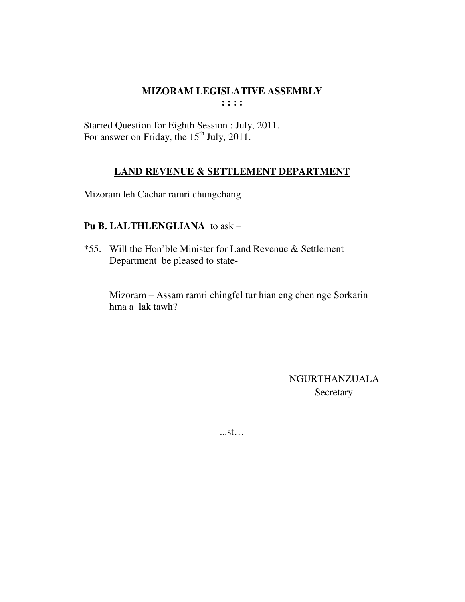Starred Question for Eighth Session : July, 2011. For answer on Friday, the  $15<sup>th</sup>$  July, 2011.

## **LAND REVENUE & SETTLEMENT DEPARTMENT**

Mizoram leh Cachar ramri chungchang

## **Pu B. LALTHLENGLIANA** to ask –

\*55. Will the Hon'ble Minister for Land Revenue & Settlement Department be pleased to state-

 Mizoram – Assam ramri chingfel tur hian eng chen nge Sorkarin hma a lak tawh?

> NGURTHANZUALA Secretary

...st…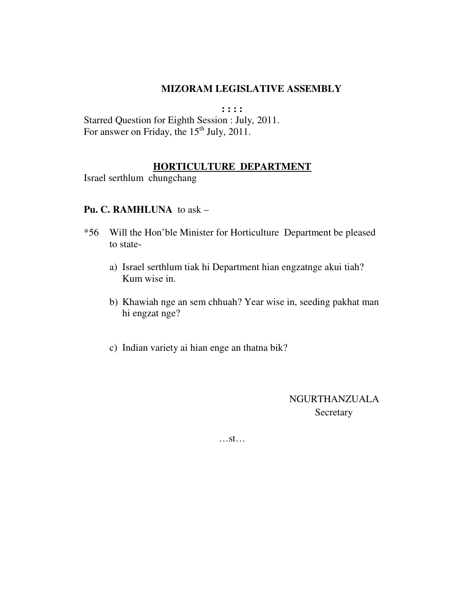**: : : :**  Starred Question for Eighth Session : July, 2011. For answer on Friday, the  $15<sup>th</sup>$  July, 2011.

## **HORTICULTURE DEPARTMENT**

Israel serthlum chungchang

#### **Pu. C. RAMHLUNA** to ask –

- \*56 Will the Hon'ble Minister for Horticulture Department be pleased to state
	- a) Israel serthlum tiak hi Department hian engzatnge akui tiah? Kum wise in.
	- b) Khawiah nge an sem chhuah? Year wise in, seeding pakhat man hi engzat nge?
	- c) Indian variety ai hian enge an thatna bik?

NGURTHANZUALA Secretary

…st…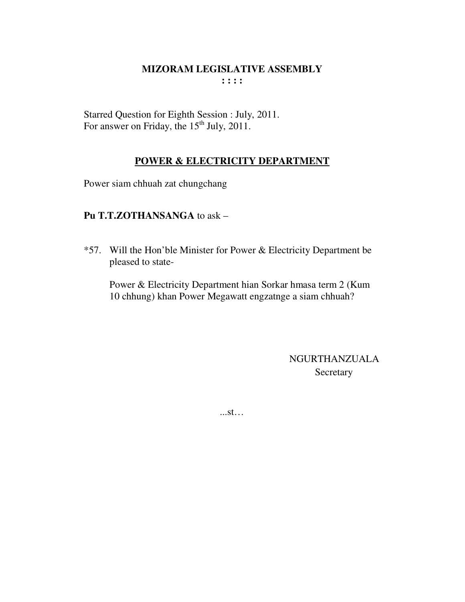Starred Question for Eighth Session : July, 2011. For answer on Friday, the  $15<sup>th</sup>$  July, 2011.

## POWER & ELECTRICITY DEPARTMENT

Power siam chhuah zat chungchang

## Pu T.T.ZOTHANSANGA to ask -

\*57. Will the Hon'ble Minister for Power & Electricity Department be pleased to state-

Power & Electricity Department hian Sorkar hmasa term 2 (Kum 10 chhung) khan Power Megawatt engzatnge a siam chhuah?

> **NGURTHANZUALA** Secretary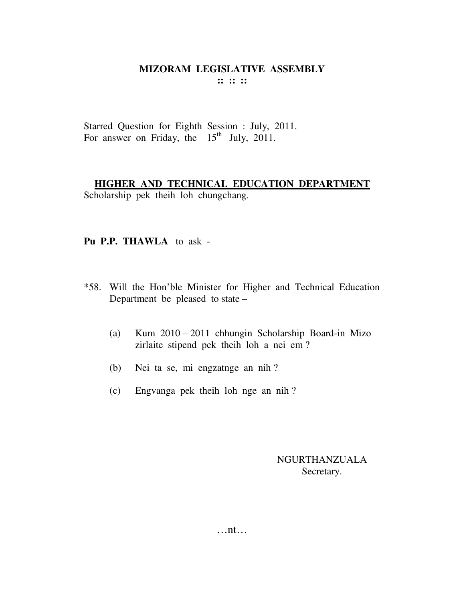Starred Question for Eighth Session : July, 2011. For answer on Friday, the  $15<sup>th</sup>$  July, 2011.

**HIGHER AND TECHNICAL EDUCATION DEPARTMENT** Scholarship pek theih loh chungchang.

#### **Pu P.P. THAWLA** to ask -

- \*58. Will the Hon'ble Minister for Higher and Technical Education Department be pleased to state –
	- (a) Kum 2010 2011 chhungin Scholarship Board-in Mizo zirlaite stipend pek theih loh a nei em ?
	- (b) Nei ta se, mi engzatnge an nih ?
	- (c) Engvanga pek theih loh nge an nih ?

NGURTHANZUALA Secretary.

…nt…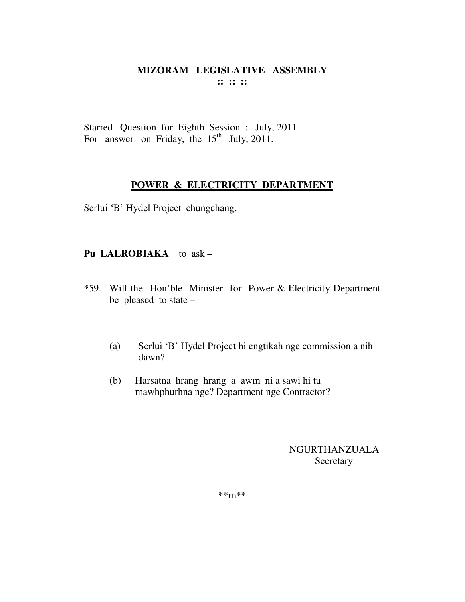Starred Question for Eighth Session : July, 2011 For answer on Friday, the  $15<sup>th</sup>$  July, 2011.

#### **POWER & ELECTRICITY DEPARTMENT**

Serlui 'B' Hydel Project chungchang.

## **Pu LALROBIAKA** to ask –

- \*59. Will the Hon'ble Minister for Power & Electricity Department be pleased to state –
	- (a) Serlui 'B' Hydel Project hi engtikah nge commission a nih dawn?
	- (b) Harsatna hrang hrang a awm ni a sawi hi tu mawhphurhna nge? Department nge Contractor?

NGURTHANZUALA **Secretary** 

\*\*m\*\*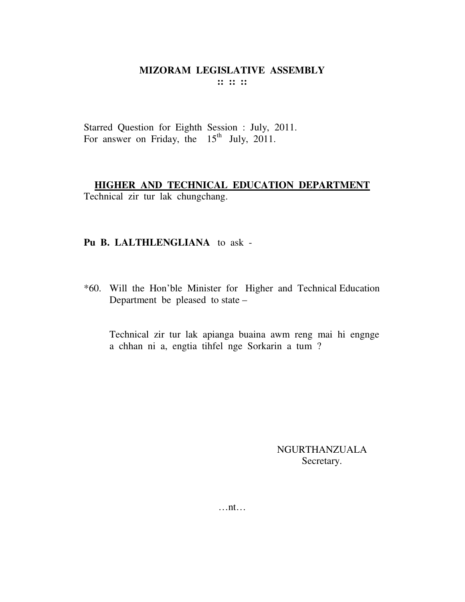**:: :: ::** 

Starred Question for Eighth Session : July, 2011. For answer on Friday, the  $15<sup>th</sup>$  July, 2011.

## **HIGHER AND TECHNICAL EDUCATION DEPARTMENT**

Technical zir tur lak chungchang.

## **Pu B. LALTHLENGLIANA** to ask -

\*60. Will the Hon'ble Minister for Higher and Technical Education Department be pleased to state –

 Technical zir tur lak apianga buaina awm reng mai hi engnge a chhan ni a, engtia tihfel nge Sorkarin a tum ?

> NGURTHANZUALA Secretary.

…nt…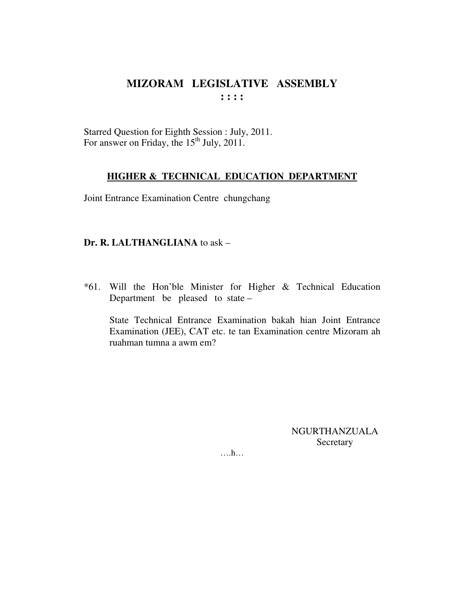Starred Question for Eighth Session : July, 2011. For answer on Friday, the 15<sup>th</sup> July, 2011.

#### **HIGHER & TECHNICAL EDUCATION DEPARTMENT**

Joint Entrance Examination Centre chungchang

#### Dr. R. LALTHANGLIANA to ask -

\*61. Will the Hon'ble Minister for Higher & Technical Education Department be pleased to state  $-$ 

State Technical Entrance Examination bakah hian Joint Entrance Examination (JEE), CAT etc. te tan Examination centre Mizoram ah ruahman tumna a awm em?

> **NGURTHANZUALA** Secretary

 $\dots$ h $\dots$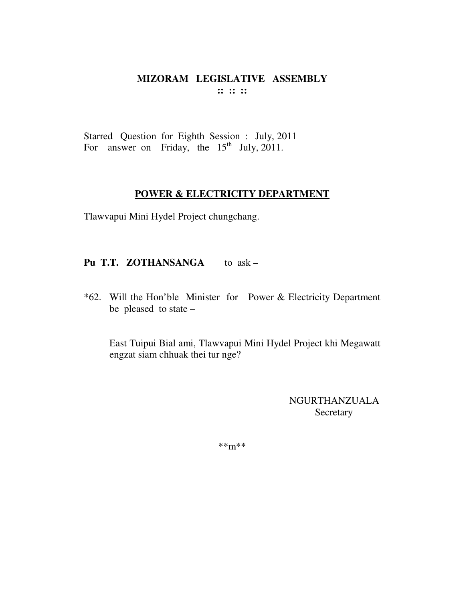#### MIZORAM LEGISLATIVE ASSEMBLY  $\mathbf{11}$   $\mathbf{12}$   $\mathbf{13}$

Starred Question for Eighth Session : July, 2011 For answer on Friday, the  $15<sup>th</sup>$  July, 2011.

#### POWER & ELECTRICITY DEPARTMENT

Tlawvapui Mini Hydel Project chungchang.

Pu T.T. ZOTHANSANGA to ask -

\*62. Will the Hon'ble Minister for Power & Electricity Department be pleased to state -

East Tuipui Bial ami, Tlawvapui Mini Hydel Project khi Megawatt engzat siam chhuak thei tur nge?

> **NGURTHANZUALA** Secretary

 $***m***$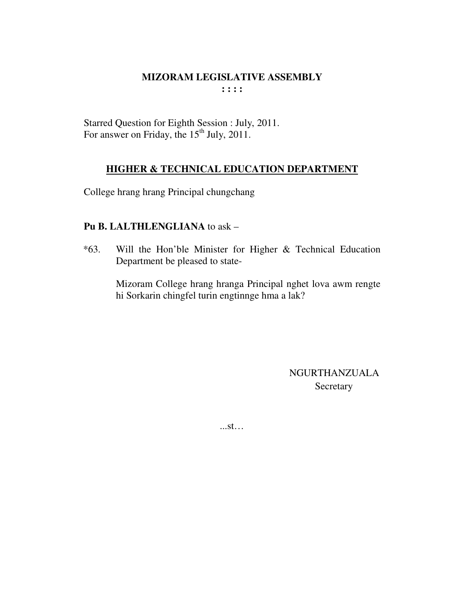Starred Question for Eighth Session : July, 2011. For answer on Friday, the 15<sup>th</sup> July, 2011.

## **HIGHER & TECHNICAL EDUCATION DEPARTMENT**

College hrang hrang Principal chungchang

## Pu B. LALTHLENGLIANA to ask -

Will the Hon'ble Minister for Higher & Technical Education  $*63.$ Department be pleased to state-

> Mizoram College hrang hranga Principal nghet lova awm rengte hi Sorkarin chingfel turin engtinnge hma a lak?

> > **NGURTHANZUALA** Secretary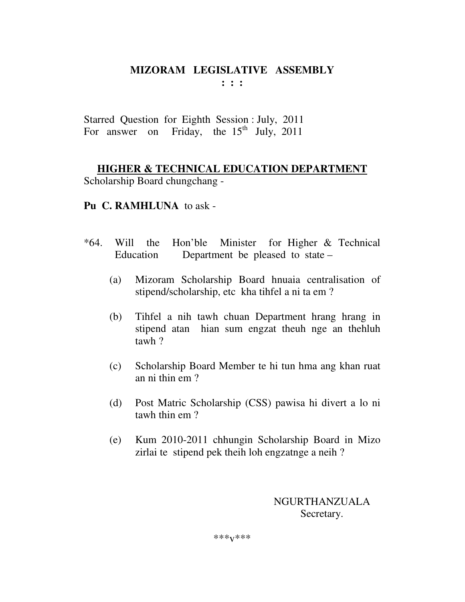**: : :** 

Starred Question for Eighth Session : July, 2011 For answer on Friday, the  $15<sup>th</sup>$  July, 2011

**HIGHER & TECHNICAL EDUCATION DEPARTMENT** Scholarship Board chungchang -

## **Pu C. RAMHLUNA** to ask -

- \*64. Will the Hon'ble Minister for Higher & Technical Education Department be pleased to state –
	- (a) Mizoram Scholarship Board hnuaia centralisation of stipend/scholarship, etc kha tihfel a ni ta em ?
	- (b) Tihfel a nih tawh chuan Department hrang hrang in stipend atan hian sum engzat theuh nge an thehluh tawh ?
	- (c) Scholarship Board Member te hi tun hma ang khan ruat an ni thin em ?
	- (d) Post Matric Scholarship (CSS) pawisa hi divert a lo ni tawh thin em ?
	- (e) Kum 2010-2011 chhungin Scholarship Board in Mizo zirlai te stipend pek theih loh engzatnge a neih ?

NGURTHANZUALA Secretary.

\*\*\*v\*\*\*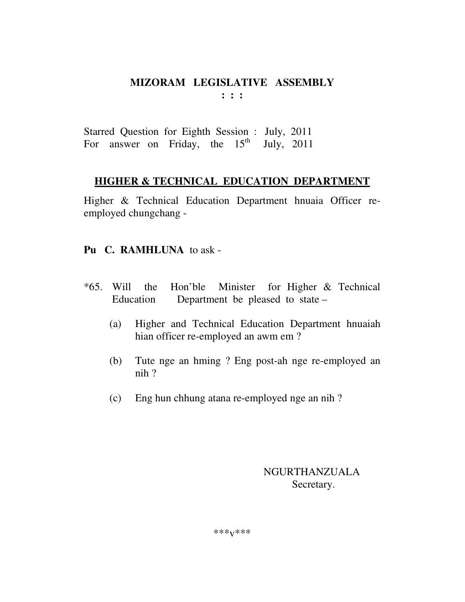Starred Question for Eighth Session : July, 2011 For answer on Friday, the  $15<sup>th</sup>$  July, 2011

## **HIGHER & TECHNICAL EDUCATION DEPARTMENT**

Higher & Technical Education Department hnuaia Officer reemployed chungchang -

## **Pu C. RAMHLUNA** to ask -

- \*65. Will the Hon'ble Minister for Higher & Technical Education Department be pleased to state –
	- (a) Higher and Technical Education Department hnuaiah hian officer re-employed an awm em ?
	- (b) Tute nge an hming ? Eng post-ah nge re-employed an nih ?
	- (c) Eng hun chhung atana re-employed nge an nih ?

## NGURTHANZUALA Secretary.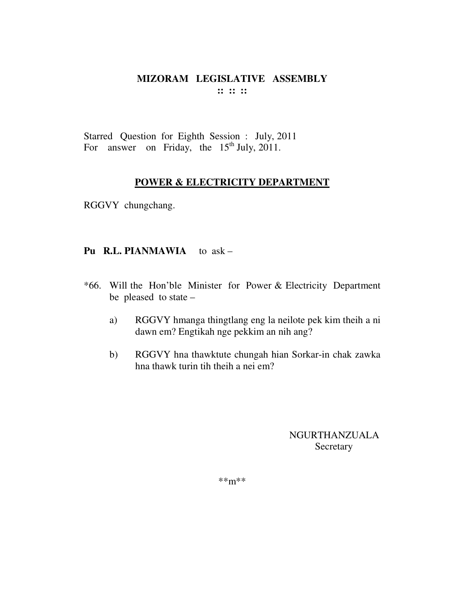Starred Question for Eighth Session : July, 2011 For answer on Friday, the  $15<sup>th</sup>$  July, 2011.

#### **POWER & ELECTRICITY DEPARTMENT**

RGGVY chungchang.

#### **Pu R.L. PIANMAWIA** to ask –

- \*66. Will the Hon'ble Minister for Power & Electricity Department be pleased to state –
	- a) RGGVY hmanga thingtlang eng la neilote pek kim theih a ni dawn em? Engtikah nge pekkim an nih ang?
	- b) RGGVY hna thawktute chungah hian Sorkar-in chak zawka hna thawk turin tih theih a nei em?

NGURTHANZUALA **Secretary** 

 $***<sub>m</sub>**$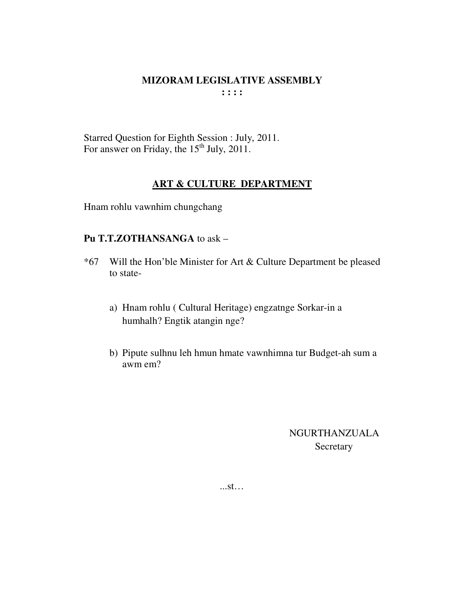Starred Question for Eighth Session : July, 2011. For answer on Friday, the 15<sup>th</sup> July, 2011.

## **ART & CULTURE DEPARTMENT**

Hnam rohlu vawnhim chungchang

#### Pu T.T.ZOTHANSANGA to ask -

- Will the Hon'ble Minister for Art & Culture Department be pleased  $*67$ to state
	- a) Hnam rohlu (Cultural Heritage) engzatnge Sorkar-in a humhalh? Engtik atangin nge?
	- b) Pipute sulhnu leh hmun hmate vawnhimna tur Budget-ah sum a awm em?

**NGURTHANZUALA** Secretary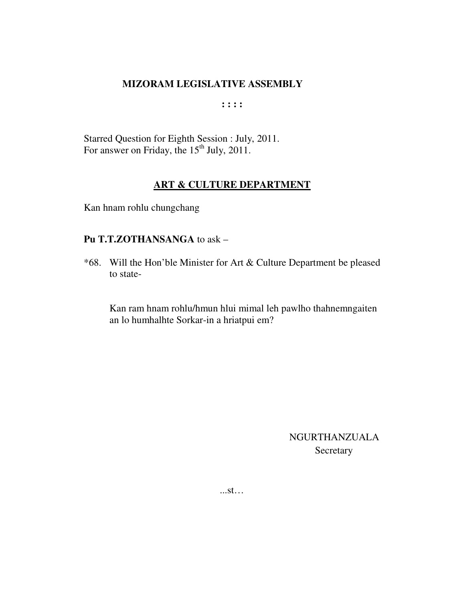**: : : :** 

Starred Question for Eighth Session : July, 2011. For answer on Friday, the  $15<sup>th</sup>$  July, 2011.

### **ART & CULTURE DEPARTMENT**

Kan hnam rohlu chungchang

## **Pu T.T.ZOTHANSANGA** to ask –

\*68. Will the Hon'ble Minister for Art & Culture Department be pleased to state-

Kan ram hnam rohlu/hmun hlui mimal leh pawlho thahnemngaiten an lo humhalhte Sorkar-in a hriatpui em?

> NGURTHANZUALA Secretary

...st…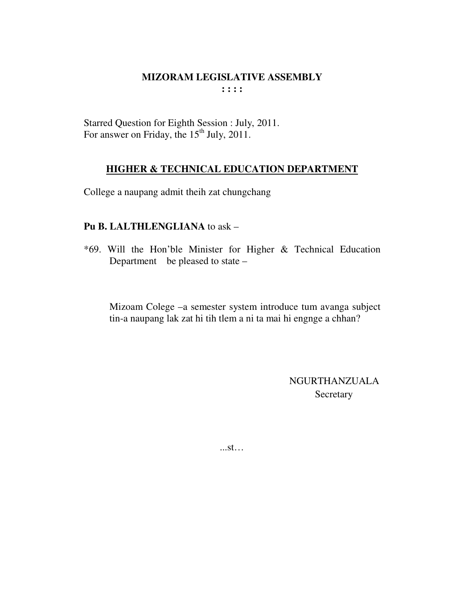Starred Question for Eighth Session : July, 2011. For answer on Friday, the 15<sup>th</sup> July, 2011.

## **HIGHER & TECHNICAL EDUCATION DEPARTMENT**

College a naupang admit theih zat chungchang

## **Pu B. LALTHLENGLIANA** to ask –

\*69. Will the Hon'ble Minister for Higher & Technical Education Department be pleased to state –

Mizoam Colege –a semester system introduce tum avanga subject tin-a naupang lak zat hi tih tlem a ni ta mai hi engnge a chhan?

> NGURTHANZUALA **Secretary**

...st…